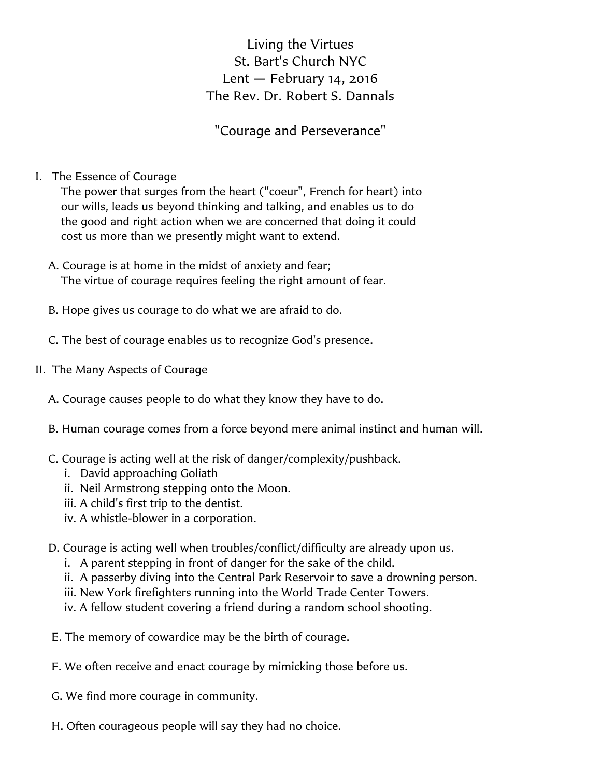## Living the Virtues St. Bart's Church NYC Lent  $-$  February 14, 2016 The Rev. Dr. Robert S. Dannals

"Courage and Perseverance"

I. The Essence of Courage

The power that surges from the heart ("coeur", French for heart) into our wills, leads us beyond thinking and talking, and enables us to do the good and right action when we are concerned that doing it could cost us more than we presently might want to extend.

- A. Courage is at home in the midst of anxiety and fear; The virtue of courage requires feeling the right amount of fear.
- B. Hope gives us courage to do what we are afraid to do.
- C. The best of courage enables us to recognize God's presence.
- II. The Many Aspects of Courage
	- A. Courage causes people to do what they know they have to do.
	- B. Human courage comes from a force beyond mere animal instinct and human will.
	- C. Courage is acting well at the risk of danger/complexity/pushback.
		- i. David approaching Goliath
		- ii. Neil Armstrong stepping onto the Moon.
		- iii. A child's first trip to the dentist.
		- iv. A whistle-blower in a corporation.
	- D. Courage is acting well when troubles/conflict/difficulty are already upon us.
		- i. A parent stepping in front of danger for the sake of the child.
		- ii. A passerby diving into the Central Park Reservoir to save a drowning person.
		- iii. New York firefighters running into the World Trade Center Towers.
		- iv. A fellow student covering a friend during a random school shooting.
	- E. The memory of cowardice may be the birth of courage.
	- F. We often receive and enact courage by mimicking those before us.
	- G. We find more courage in community.
	- H. Often courageous people will say they had no choice.